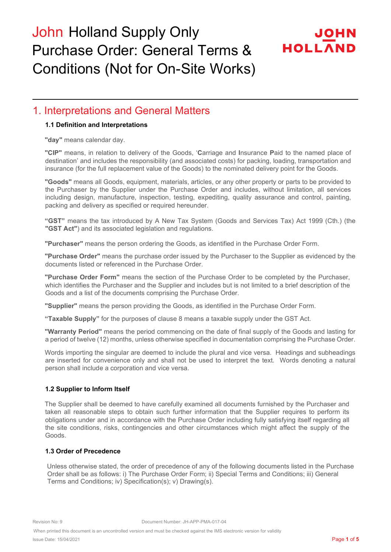# HOLLA

#### 1. Interpretations and General Matters

#### **1.1 Definition and Interpretations**

**"day"** means calendar day.

**"CIP"** means, in relation to delivery of the Goods, '**C**arriage and **I**nsurance **P**aid to the named place of destination' and includes the responsibility (and associated costs) for packing, loading, transportation and insurance (for the full replacement value of the Goods) to the nominated delivery point for the Goods.

**"Goods"** means all Goods, equipment, materials, articles, or any other property or parts to be provided to the Purchaser by the Supplier under the Purchase Order and includes, without limitation, all services including design, manufacture, inspection, testing, expediting, quality assurance and control, painting, packing and delivery as specified or required hereunder.

**"GST"** means the tax introduced by A New Tax System (Goods and Services Tax) Act 1999 (Cth.) (the **"GST Act"**) and its associated legislation and regulations.

**"Purchaser"** means the person ordering the Goods, as identified in the Purchase Order Form.

**"Purchase Order"** means the purchase order issued by the Purchaser to the Supplier as evidenced by the documents listed or referenced in the Purchase Order.

**"Purchase Order Form"** means the section of the Purchase Order to be completed by the Purchaser, which identifies the Purchaser and the Supplier and includes but is not limited to a brief description of the Goods and a list of the documents comprising the Purchase Order.

**"Supplier"** means the person providing the Goods, as identified in the Purchase Order Form.

**"Taxable Supply"** for the purposes of clause 8 means a taxable supply under the GST Act.

**"Warranty Period"** means the period commencing on the date of final supply of the Goods and lasting for a period of twelve (12) months, unless otherwise specified in documentation comprising the Purchase Order.

Words importing the singular are deemed to include the plural and vice versa. Headings and subheadings are inserted for convenience only and shall not be used to interpret the text. Words denoting a natural person shall include a corporation and vice versa.

#### **1.2 Supplier to Inform Itself**

The Supplier shall be deemed to have carefully examined all documents furnished by the Purchaser and taken all reasonable steps to obtain such further information that the Supplier requires to perform its obligations under and in accordance with the Purchase Order including fully satisfying itself regarding all the site conditions, risks, contingencies and other circumstances which might affect the supply of the Goods.

#### **1.3 Order of Precedence**

Unless otherwise stated, the order of precedence of any of the following documents listed in the Purchase Order shall be as follows: i) The Purchase Order Form; ii) Special Terms and Conditions; iii) General Terms and Conditions; iv) Specification(s); v) Drawing(s).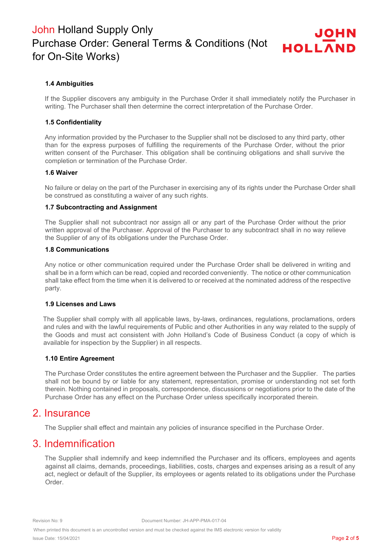#### **1.4 Ambiguities**

If the Supplier discovers any ambiguity in the Purchase Order it shall immediately notify the Purchaser in writing. The Purchaser shall then determine the correct interpretation of the Purchase Order.

#### **1.5 Confidentiality**

Any information provided by the Purchaser to the Supplier shall not be disclosed to any third party, other than for the express purposes of fulfilling the requirements of the Purchase Order, without the prior written consent of the Purchaser. This obligation shall be continuing obligations and shall survive the completion or termination of the Purchase Order.

#### **1.6 Waiver**

No failure or delay on the part of the Purchaser in exercising any of its rights under the Purchase Order shall be construed as constituting a waiver of any such rights.

#### **1.7 Subcontracting and Assignment**

The Supplier shall not subcontract nor assign all or any part of the Purchase Order without the prior written approval of the Purchaser. Approval of the Purchaser to any subcontract shall in no way relieve the Supplier of any of its obligations under the Purchase Order.

#### **1.8 Communications**

Any notice or other communication required under the Purchase Order shall be delivered in writing and shall be in a form which can be read, copied and recorded conveniently. The notice or other communication shall take effect from the time when it is delivered to or received at the nominated address of the respective party.

#### **1.9 Licenses and Laws**

The Supplier shall comply with all applicable laws, by-laws, ordinances, regulations, proclamations, orders and rules and with the lawful requirements of Public and other Authorities in any way related to the supply of the Goods and must act consistent with John Holland's Code of Business Conduct (a copy of which is available for inspection by the Supplier) in all respects.

#### **1.10 Entire Agreement**

The Purchase Order constitutes the entire agreement between the Purchaser and the Supplier. The parties shall not be bound by or liable for any statement, representation, promise or understanding not set forth therein. Nothing contained in proposals, correspondence, discussions or negotiations prior to the date of the Purchase Order has any effect on the Purchase Order unless specifically incorporated therein.

#### 2. Insurance

The Supplier shall effect and maintain any policies of insurance specified in the Purchase Order.

#### 3. Indemnification

The Supplier shall indemnify and keep indemnified the Purchaser and its officers, employees and agents against all claims, demands, proceedings, liabilities, costs, charges and expenses arising as a result of any act, neglect or default of the Supplier, its employees or agents related to its obligations under the Purchase Order.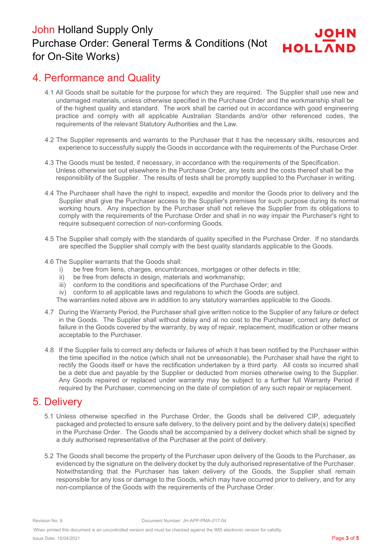## 4. Performance and Quality

- 4.1 All Goods shall be suitable for the purpose for which they are required. The Supplier shall use new and undamaged materials, unless otherwise specified in the Purchase Order and the workmanship shall be of the highest quality and standard. The work shall be carried out in accordance with good engineering practice and comply with all applicable Australian Standards and/or other referenced codes, the requirements of the relevant Statutory Authorities and the Law.
- 4.2 The Supplier represents and warrants to the Purchaser that it has the necessary skills, resources and experience to successfully supply the Goods in accordance with the requirements of the Purchase Order.
- 4.3 The Goods must be tested, if necessary, in accordance with the requirements of the Specification. Unless otherwise set out elsewhere in the Purchase Order, any tests and the costs thereof shall be the responsibility of the Supplier. The results of tests shall be promptly supplied to the Purchaser in writing.
- 4.4 The Purchaser shall have the right to inspect, expedite and monitor the Goods prior to delivery and the Supplier shall give the Purchaser access to the Supplier's premises for such purpose during its normal working hours. Any inspection by the Purchaser shall not relieve the Supplier from its obligations to comply with the requirements of the Purchase Order and shall in no way impair the Purchaser's right to require subsequent correction of non-conforming Goods.
- 4.5 The Supplier shall comply with the standards of quality specified in the Purchase Order. If no standards are specified the Supplier shall comply with the best quality standards applicable to the Goods.
- 4.6 The Supplier warrants that the Goods shall:
	- i) be free from liens, charges, encumbrances, mortgages or other defects in title;
	- ii) be free from defects in design, materials and workmanship;
	- iii) conform to the conditions and specifications of the Purchase Order; and
	- iv) conform to all applicable laws and regulations to which the Goods are subject.

The warranties noted above are in addition to any statutory warranties applicable to the Goods.

- 4.7 During the Warranty Period, the Purchaser shall give written notice to the Supplier of any failure or defect in the Goods. The Supplier shall without delay and at no cost to the Purchaser, correct any defect or failure in the Goods covered by the warranty, by way of repair, replacement, modification or other means acceptable to the Purchaser.
- 4.8 If the Supplier fails to correct any defects or failures of which it has been notified by the Purchaser within the time specified in the notice (which shall not be unreasonable), the Purchaser shall have the right to rectify the Goods itself or have the rectification undertaken by a third party. All costs so incurred shall be a debt due and payable by the Supplier or deducted from monies otherwise owing to the Supplier. Any Goods repaired or replaced under warranty may be subject to a further full Warranty Period if required by the Purchaser, commencing on the date of completion of any such repair or replacement.

## 5. Delivery

- 5.1 Unless otherwise specified in the Purchase Order, the Goods shall be delivered CIP, adequately packaged and protected to ensure safe delivery, to the delivery point and by the delivery date(s) specified in the Purchase Order. The Goods shall be accompanied by a delivery docket which shall be signed by a duly authorised representative of the Purchaser at the point of delivery.
- 5.2 The Goods shall become the property of the Purchaser upon delivery of the Goods to the Purchaser, as evidenced by the signature on the delivery docket by the duly authorised representative of the Purchaser. Notwithstanding that the Purchaser has taken delivery of the Goods, the Supplier shall remain responsible for any loss or damage to the Goods, which may have occurred prior to delivery, and for any non-compliance of the Goods with the requirements of the Purchase Order.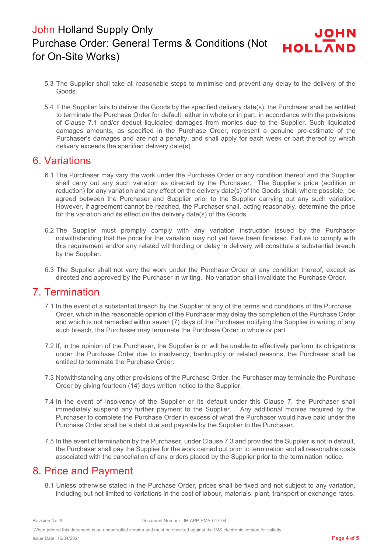- 5.3 The Supplier shall take all reasonable steps to minimise and prevent any delay to the delivery of the Goods.
- 5.4 If the Supplier fails to deliver the Goods by the specified delivery date(s), the Purchaser shall be entitled to terminate the Purchase Order for default, either in whole or in part, in accordance with the provisions of Clause 7.1 and/or deduct liquidated damages from monies due to the Supplier. Such liquidated damages amounts, as specified in the Purchase Order, represent a genuine pre-estimate of the Purchaser's damages and are not a penalty, and shall apply for each week or part thereof by which delivery exceeds the specified delivery date(s).

## 6. Variations

- 6.1 The Purchaser may vary the work under the Purchase Order or any condition thereof and the Supplier shall carry out any such variation as directed by the Purchaser. The Supplier's price (addition or reduction) for any variation and any effect on the delivery date(s) of the Goods shall, where possible, be agreed between the Purchaser and Supplier prior to the Supplier carrying out any such variation. However, if agreement cannot be reached, the Purchaser shall, acting reasonably, determine the price for the variation and its effect on the delivery date(s) of the Goods.
- 6.2 The Supplier must promptly comply with any variation instruction issued by the Purchaser notwithstanding that the price for the variation may not yet have been finalised. Failure to comply with this requirement and/or any related withholding or delay in delivery will constitute a substantial breach by the Supplier.
- 6.3 The Supplier shall not vary the work under the Purchase Order or any condition thereof, except as directed and approved by the Purchaser in writing. No variation shall invalidate the Purchase Order.

## 7. Termination

- 7.1 In the event of a substantial breach by the Supplier of any of the terms and conditions of the Purchase Order, which in the reasonable opinion of the Purchaser may delay the completion of the Purchase Order and which is not remedied within seven (7) days of the Purchaser notifying the Supplier in writing of any such breach, the Purchaser may terminate the Purchase Order in whole or part.
- 7.2 If, in the opinion of the Purchaser, the Supplier is or will be unable to effectively perform its obligations under the Purchase Order due to insolvency, bankruptcy or related reasons, the Purchaser shall be entitled to terminate the Purchase Order.
- 7.3 Notwithstanding any other provisions of the Purchase Order, the Purchaser may terminate the Purchase Order by giving fourteen (14) days written notice to the Supplier.
- 7.4 In the event of insolvency of the Supplier or its default under this Clause 7, the Purchaser shall immediately suspend any further payment to the Supplier. Any additional monies required by the Purchaser to complete the Purchase Order in excess of what the Purchaser would have paid under the Purchase Order shall be a debt due and payable by the Supplier to the Purchaser.
- 7.5 In the event of termination by the Purchaser, under Clause 7.3 and provided the Supplier is not in default, the Purchaser shall pay the Supplier for the work carried out prior to termination and all reasonable costs associated with the cancellation of any orders placed by the Supplier prior to the termination notice.

## 8. Price and Payment

8.1 Unless otherwise stated in the Purchase Order, prices shall be fixed and not subject to any variation, including but not limited to variations in the cost of labour, materials, plant, transport or exchange rates.